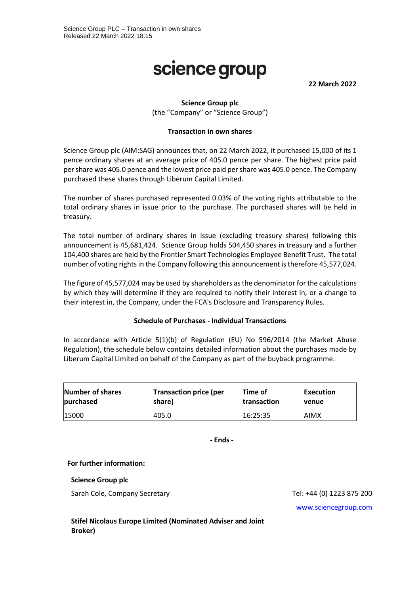# science group

**22 March 2022**

# **Science Group plc**

(the "Company" or "Science Group")

### **Transaction in own shares**

Science Group plc (AIM:SAG) announces that, on 22 March 2022, it purchased 15,000 of its 1 pence ordinary shares at an average price of 405.0 pence per share. The highest price paid per share was 405.0 pence and the lowest price paid per share was 405.0 pence. The Company purchased these shares through Liberum Capital Limited.

The number of shares purchased represented 0.03% of the voting rights attributable to the total ordinary shares in issue prior to the purchase. The purchased shares will be held in treasury.

The total number of ordinary shares in issue (excluding treasury shares) following this announcement is 45,681,424. Science Group holds 504,450 shares in treasury and a further 104,400 shares are held by the Frontier Smart Technologies Employee Benefit Trust. The total number of voting rights in the Company following this announcement is therefore 45,577,024.

The figure of 45,577,024 may be used by shareholders as the denominator for the calculations by which they will determine if they are required to notify their interest in, or a change to their interest in, the Company, under the FCA's Disclosure and Transparency Rules.

### **Schedule of Purchases - Individual Transactions**

In accordance with Article 5(1)(b) of Regulation (EU) No 596/2014 (the Market Abuse Regulation), the schedule below contains detailed information about the purchases made by Liberum Capital Limited on behalf of the Company as part of the buyback programme.

| Number of shares | <b>Transaction price (per</b> | Time of     | Execution |
|------------------|-------------------------------|-------------|-----------|
| purchased        | share)                        | transaction | venue     |
| 15000            | 405.0                         | 16:25:35    | AIMX      |

**- Ends -**

### **For further information:**

**Science Group plc**

Sarah Cole, Company Secretary Tel: +44 (0) 1223 875 200

[www.sciencegroup.com](http://www.sciencegroup.com/)

**Stifel Nicolaus Europe Limited (Nominated Adviser and Joint Broker)**